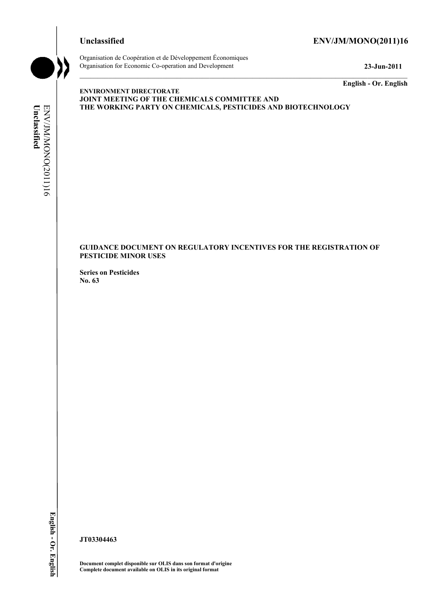#### **Unclassified ENV/JM/MONO(2011)16**



Organisation de Coopération et de Développement Économiques Organisation for Economic Co-operation and Development **23-Jun-2011** 

**English - Or. English** 

# ENV/JM/MONO(2011)16<br>Unclassified **Unclassified**  ENV/JM/MONO(2011)16

#### **ENVIRONMENT DIRECTORATE JOINT MEETING OF THE CHEMICALS COMMITTEE AND THE WORKING PARTY ON CHEMICALS, PESTICIDES AND BIOTECHNOLOGY**

#### **GUIDANCE DOCUMENT ON REGULATORY INCENTIVES FOR THE REGISTRATION OF PESTICIDE MINOR USES**

**Series on Pesticides No. 63** 

**JT03304463** 

**Document complet disponible sur OLIS dans son format d'origine Complete document available on OLIS in its original format**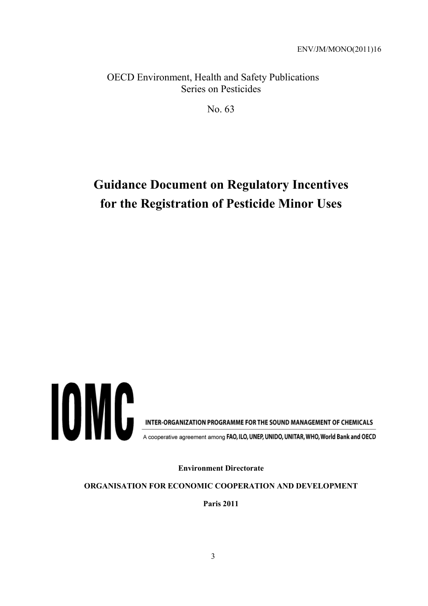OECD Environment, Health and Safety Publications Series on Pesticides

No. 63

# **Guidance Document on Regulatory Incentives for the Registration of Pesticide Minor Uses**



**INTER-OR** NIZATION PROGRAMME FOR THE SOUND MANAGEMENT OF CHEMICALS

A cooperative agreement among FAO, ILO, UNEP, UNIDO, UNITAR, WHO, World Bank and OECD

**Environment Directorate** 

**ORGANISATION FOR ECONOMIC COOPERATION AND DEVELOPMENT** 

**Paris 2011**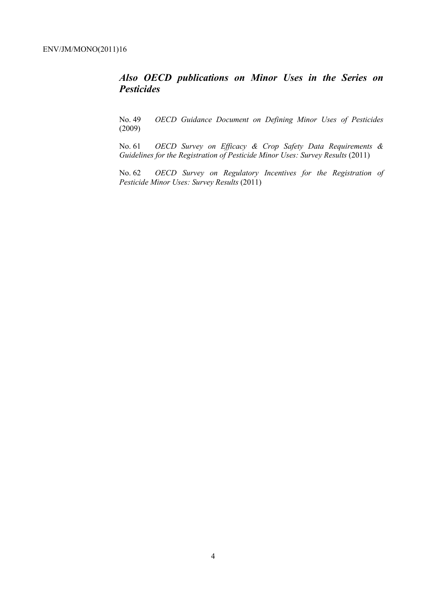#### *Also OECD publications on Minor Uses in the Series on Pesticides*

No. 49 *OECD Guidance Document on Defining Minor Uses of Pesticides*  (2009)

No. 61 *OECD Survey on Efficacy & Crop Safety Data Requirements & Guidelines for the Registration of Pesticide Minor Uses: Survey Results* (2011)

No. 62 *OECD Survey on Regulatory Incentives for the Registration of Pesticide Minor Uses: Survey Results* (2011)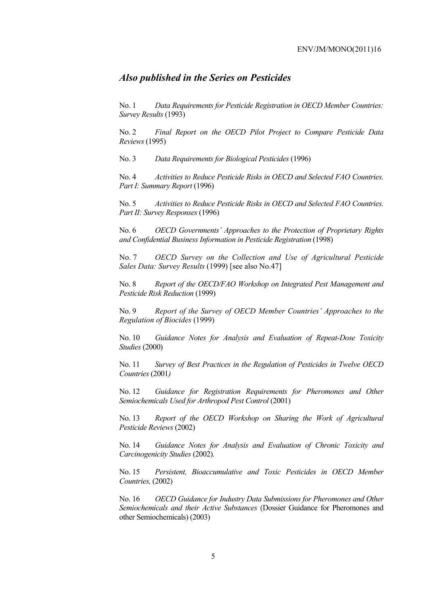#### *Also published in the Series on Pesticides*

No. 1 *Data Requirements for Pesticide Registration in OECD Member Countries: Survey Results* (1993)

No. 2 *Final Report on the OECD Pilot Project to Compare Pesticide Data Reviews* (1995)

No. 3 *Data Requirements for Biological Pesticides* (1996)

No. 4 *Activities to Reduce Pesticide Risks in OECD and Selected FAO Countries. Part I: Summary Report* (1996)

No. 5 *Activities to Reduce Pesticide Risks in OECD and Selected FAO Countries. Part II: Survey Responses* (1996)

No. 6 *OECD Governments' Approaches to the Protection of Proprietary Rights and Confidential Business Information in Pesticide Registration* (1998)

No. 7 *OECD Survey on the Collection and Use of Agricultural Pesticide Sales Data: Survey Results* (1999) [see also No.47]

No. 8 *Report of the OECD/FAO Workshop on Integrated Pest Management and Pesticide Risk Reduction* (1999)

No. 9 *Report of the Survey of OECD Member Countries' Approaches to the Regulation of Biocides* (1999)

No. 10 *Guidance Notes for Analysis and Evaluation of Repeat-Dose Toxicity Studies* (2000)

No. 11 *Survey of Best Practices in the Regulation of Pesticides in Twelve OECD Countries* (2001*)*

No. 12 *Guidance for Registration Requirements for Pheromones and Other Semiochemicals Used for Arthropod Pest Control* (2001)

No. 13 *Report of the OECD Workshop on Sharing the Work of Agricultural Pesticide Reviews* (2002)

No. 14 *Guidance Notes for Analysis and Evaluation of Chronic Toxicity and Carcinogenicity Studies* (2002)*.* 

No. 15 *Persistent, Bioaccumulative and Toxic Pesticides in OECD Member Countries,* (2002)

No. 16 *OECD Guidance for Industry Data Submissions for Pheromones and Other Semiochemicals and their Active Substances* (Dossier Guidance for Pheromones and other Semiochemicals) (2003)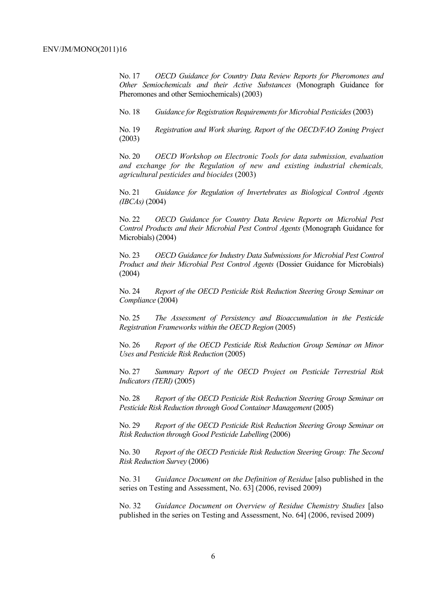No. 17 *OECD Guidance for Country Data Review Reports for Pheromones and Other Semiochemicals and their Active Substances* (Monograph Guidance for Pheromones and other Semiochemicals) (2003)

No. 18 *Guidance for Registration Requirements for Microbial Pesticides* (2003)

No. 19 *Registration and Work sharing, Report of the OECD/FAO Zoning Project*  (2003)

No. 20 *OECD Workshop on Electronic Tools for data submission, evaluation and exchange for the Regulation of new and existing industrial chemicals, agricultural pesticides and biocides* (2003)

No. 21 *Guidance for Regulation of Invertebrates as Biological Control Agents (IBCAs)* (2004)

No. 22 *OECD Guidance for Country Data Review Reports on Microbial Pest Control Products and their Microbial Pest Control Agents* (Monograph Guidance for Microbials) (2004)

No. 23 *OECD Guidance for Industry Data Submissions for Microbial Pest Control Product and their Microbial Pest Control Agents* (Dossier Guidance for Microbials) (2004)

No. 24 *Report of the OECD Pesticide Risk Reduction Steering Group Seminar on Compliance* (2004)

No. 25 *The Assessment of Persistency and Bioaccumulation in the Pesticide Registration Frameworks within the OECD Region* (2005)

No. 26 *Report of the OECD Pesticide Risk Reduction Group Seminar on Minor Uses and Pesticide Risk Reduction* (2005)

No. 27 *Summary Report of the OECD Project on Pesticide Terrestrial Risk Indicators (TERI)* (2005)

No. 28 *Report of the OECD Pesticide Risk Reduction Steering Group Seminar on Pesticide Risk Reduction through Good Container Management* (2005)

No. 29 *Report of the OECD Pesticide Risk Reduction Steering Group Seminar on Risk Reduction through Good Pesticide Labelling* (2006)

No. 30 *Report of the OECD Pesticide Risk Reduction Steering Group: The Second Risk Reduction Survey* (2006)

No. 31 *Guidance Document on the Definition of Residue* [also published in the series on Testing and Assessment, No. 63] (2006, revised 2009)

No. 32 *Guidance Document on Overview of Residue Chemistry Studies* [also published in the series on Testing and Assessment, No. 64] (2006, revised 2009)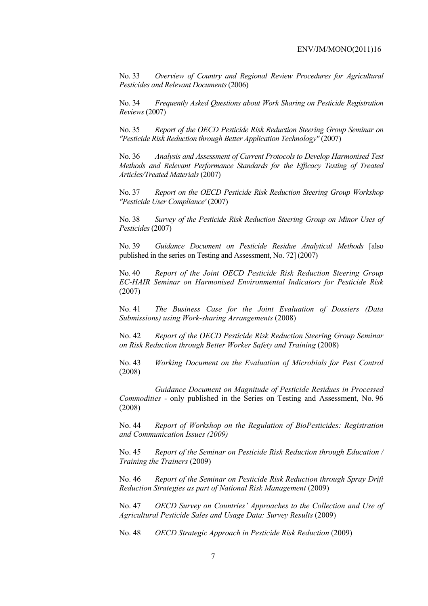No. 33 *Overview of Country and Regional Review Procedures for Agricultural Pesticides and Relevant Documents* (2006)

No. 34 *Frequently Asked Questions about Work Sharing on Pesticide Registration Reviews* (2007)

No. 35 *Report of the OECD Pesticide Risk Reduction Steering Group Seminar on "Pesticide Risk Reduction through Better Application Technology"* (2007)

No. 36 *Analysis and Assessment of Current Protocols to Develop Harmonised Test Methods and Relevant Performance Standards for the Efficacy Testing of Treated Articles/Treated Materials* (2007)

No. 37 *Report on the OECD Pesticide Risk Reduction Steering Group Workshop "Pesticide User Compliance'* (2007)

No. 38 *Survey of the Pesticide Risk Reduction Steering Group on Minor Uses of Pesticides* (2007)

No. 39 *Guidance Document on Pesticide Residue Analytical Methods* [also published in the series on Testing and Assessment, No. 72] (2007)

No. 40 *Report of the Joint OECD Pesticide Risk Reduction Steering Group EC-HAIR Seminar on Harmonised Environmental Indicators for Pesticide Risk* (2007)

No. 41 *The Business Case for the Joint Evaluation of Dossiers (Data Submissions) using Work-sharing Arrangements* (2008)

No. 42 *Report of the OECD Pesticide Risk Reduction Steering Group Seminar on Risk Reduction through Better Worker Safety and Training* (2008)

No. 43 *Working Document on the Evaluation of Microbials for Pest Control*  (2008)

 *Guidance Document on Magnitude of Pesticide Residues in Processed Commodities* - only published in the Series on Testing and Assessment, No. 96 (2008)

No. 44 *Report of Workshop on the Regulation of BioPesticides: Registration and Communication Issues (2009)*

No. 45 *Report of the Seminar on Pesticide Risk Reduction through Education / Training the Trainers* (2009)

No. 46 *Report of the Seminar on Pesticide Risk Reduction through Spray Drift Reduction Strategies as part of National Risk Management* (2009)

No. 47 *OECD Survey on Countries' Approaches to the Collection and Use of Agricultural Pesticide Sales and Usage Data: Survey Results* (2009)

No. 48 *OECD Strategic Approach in Pesticide Risk Reduction* (2009)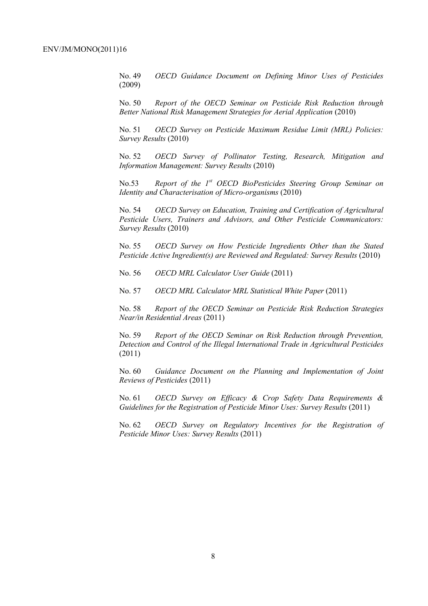No. 49 *OECD Guidance Document on Defining Minor Uses of Pesticides*  (2009)

No. 50 *Report of the OECD Seminar on Pesticide Risk Reduction through Better National Risk Management Strategies for Aerial Application* (2010)

No. 51 *OECD Survey on Pesticide Maximum Residue Limit (MRL) Policies: Survey Results* (2010)

No. 52 *OECD Survey of Pollinator Testing, Research, Mitigation and Information Management: Survey Results* (2010)

No.53 Report of the 1<sup>st</sup> OECD BioPesticides Steering Group Seminar on *Identity and Characterisation of Micro-organisms* (2010)

No. 54 *OECD Survey on Education, Training and Certification of Agricultural Pesticide Users, Trainers and Advisors, and Other Pesticide Communicators: Survey Results* (2010)

No. 55 *OECD Survey on How Pesticide Ingredients Other than the Stated Pesticide Active Ingredient(s) are Reviewed and Regulated: Survey Results (2010)* 

No. 56 *OECD MRL Calculator User Guide* (2011)

No. 57 *OECD MRL Calculator MRL Statistical White Paper* (2011)

No. 58 *Report of the OECD Seminar on Pesticide Risk Reduction Strategies Near/in Residential Areas* (2011)

No. 59 *Report of the OECD Seminar on Risk Reduction through Prevention, Detection and Control of the Illegal International Trade in Agricultural Pesticides* (2011)

No. 60 *Guidance Document on the Planning and Implementation of Joint Reviews of Pesticides* (2011)

No. 61 *OECD Survey on Efficacy & Crop Safety Data Requirements & Guidelines for the Registration of Pesticide Minor Uses: Survey Results (2011)* 

No. 62 *OECD Survey on Regulatory Incentives for the Registration of Pesticide Minor Uses: Survey Results* (2011)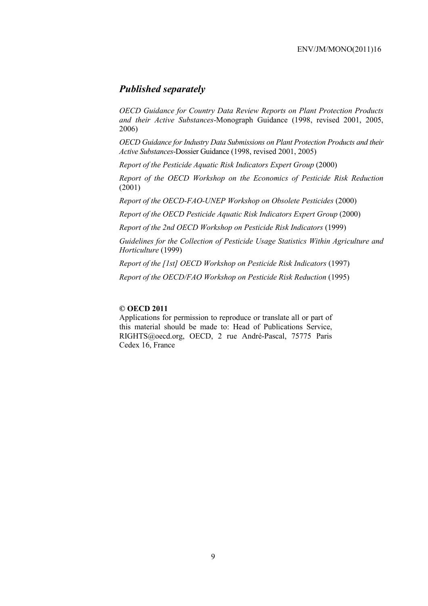#### *Published separately*

*OECD Guidance for Country Data Review Reports on Plant Protection Products and their Active Substances*-Monograph Guidance (1998, revised 2001, 2005, 2006)

*OECD Guidance for Industry Data Submissions on Plant Protection Products and their Active Substances*-Dossier Guidance (1998, revised 2001, 2005)

*Report of the Pesticide Aquatic Risk Indicators Expert Group* (2000)

*Report of the OECD Workshop on the Economics of Pesticide Risk Reduction*  (2001)

*Report of the OECD-FAO-UNEP Workshop on Obsolete Pesticides* (2000)

*Report of the OECD Pesticide Aquatic Risk Indicators Expert Group* (2000)

*Report of the 2nd OECD Workshop on Pesticide Risk Indicators* (1999)

*Guidelines for the Collection of Pesticide Usage Statistics Within Agriculture and Horticulture* (1999)

*Report of the [1st] OECD Workshop on Pesticide Risk Indicators* (1997)

*Report of the OECD/FAO Workshop on Pesticide Risk Reduction* (1995)

#### **© OECD 2011**

Applications for permission to reproduce or translate all or part of this material should be made to: Head of Publications Service, RIGHTS@oecd.org, OECD, 2 rue André-Pascal, 75775 Paris Cedex 16, France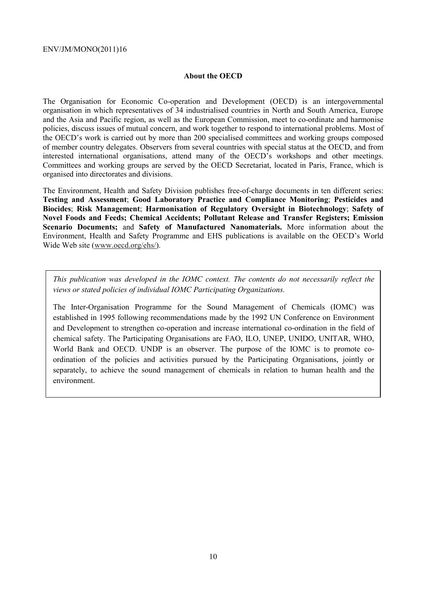#### **About the OECD**

The Organisation for Economic Co-operation and Development (OECD) is an intergovernmental organisation in which representatives of 34 industrialised countries in North and South America, Europe and the Asia and Pacific region, as well as the European Commission, meet to co-ordinate and harmonise policies, discuss issues of mutual concern, and work together to respond to international problems. Most of the OECD's work is carried out by more than 200 specialised committees and working groups composed of member country delegates. Observers from several countries with special status at the OECD, and from interested international organisations, attend many of the OECD's workshops and other meetings. Committees and working groups are served by the OECD Secretariat, located in Paris, France, which is organised into directorates and divisions.

The Environment, Health and Safety Division publishes free-of-charge documents in ten different series: **Testing and Assessment**; **Good Laboratory Practice and Compliance Monitoring**; **Pesticides and Biocides**; **Risk Management**; **Harmonisation of Regulatory Oversight in Biotechnology**; **Safety of Novel Foods and Feeds; Chemical Accidents; Pollutant Release and Transfer Registers; Emission Scenario Documents;** and **Safety of Manufactured Nanomaterials.** More information about the Environment, Health and Safety Programme and EHS publications is available on the OECD's World Wide Web site (www.oecd.org/ehs/).

*This publication was developed in the IOMC context. The contents do not necessarily reflect the views or stated policies of individual IOMC Participating Organizations.* 

The Inter-Organisation Programme for the Sound Management of Chemicals (IOMC) was established in 1995 following recommendations made by the 1992 UN Conference on Environment and Development to strengthen co-operation and increase international co-ordination in the field of chemical safety. The Participating Organisations are FAO, ILO, UNEP, UNIDO, UNITAR, WHO, World Bank and OECD. UNDP is an observer. The purpose of the IOMC is to promote coordination of the policies and activities pursued by the Participating Organisations, jointly or separately, to achieve the sound management of chemicals in relation to human health and the environment.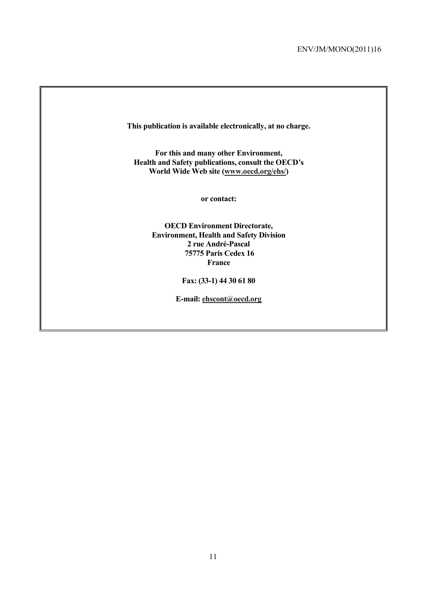**This publication is available electronically, at no charge.** 

**For this and many other Environment, Health and Safety publications, consult the OECD's World Wide Web site (www.oecd.org/ehs/)** 

**or contact:** 

**OECD Environment Directorate, Environment, Health and Safety Division 2 rue André-Pascal 75775 Paris Cedex 16 France** 

**Fax: (33-1) 44 30 61 80** 

**E-mail: ehscont@oecd.org**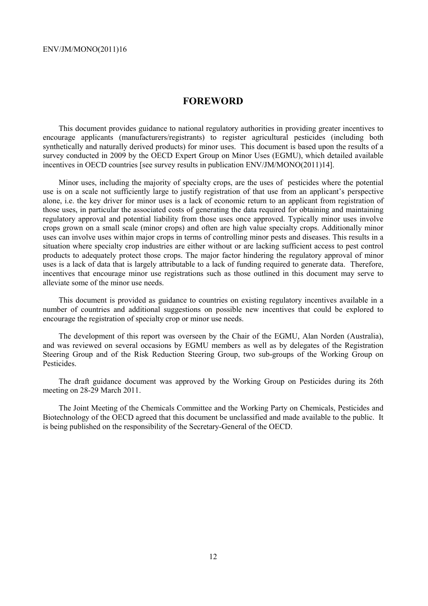#### **FOREWORD**

This document provides guidance to national regulatory authorities in providing greater incentives to encourage applicants (manufacturers/registrants) to register agricultural pesticides (including both synthetically and naturally derived products) for minor uses. This document is based upon the results of a survey conducted in 2009 by the OECD Expert Group on Minor Uses (EGMU), which detailed available incentives in OECD countries [see survey results in publication ENV/JM/MONO(2011)14].

Minor uses, including the majority of specialty crops, are the uses of pesticides where the potential use is on a scale not sufficiently large to justify registration of that use from an applicant's perspective alone, i.e. the key driver for minor uses is a lack of economic return to an applicant from registration of those uses, in particular the associated costs of generating the data required for obtaining and maintaining regulatory approval and potential liability from those uses once approved. Typically minor uses involve crops grown on a small scale (minor crops) and often are high value specialty crops. Additionally minor uses can involve uses within major crops in terms of controlling minor pests and diseases. This results in a situation where specialty crop industries are either without or are lacking sufficient access to pest control products to adequately protect those crops. The major factor hindering the regulatory approval of minor uses is a lack of data that is largely attributable to a lack of funding required to generate data. Therefore, incentives that encourage minor use registrations such as those outlined in this document may serve to alleviate some of the minor use needs.

This document is provided as guidance to countries on existing regulatory incentives available in a number of countries and additional suggestions on possible new incentives that could be explored to encourage the registration of specialty crop or minor use needs.

The development of this report was overseen by the Chair of the EGMU, Alan Norden (Australia), and was reviewed on several occasions by EGMU members as well as by delegates of the Registration Steering Group and of the Risk Reduction Steering Group, two sub-groups of the Working Group on Pesticides.

The draft guidance document was approved by the Working Group on Pesticides during its 26th meeting on 28-29 March 2011.

The Joint Meeting of the Chemicals Committee and the Working Party on Chemicals, Pesticides and Biotechnology of the OECD agreed that this document be unclassified and made available to the public. It is being published on the responsibility of the Secretary-General of the OECD.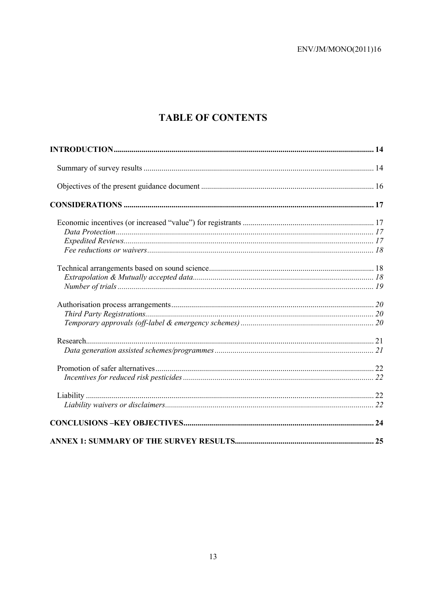## **TABLE OF CONTENTS**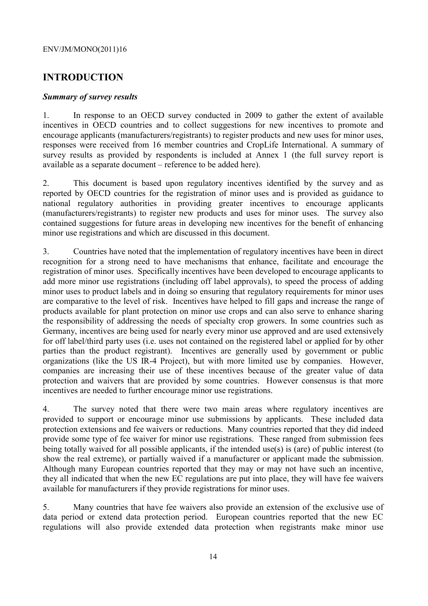#### **INTRODUCTION**

#### *Summary of survey results*

1. In response to an OECD survey conducted in 2009 to gather the extent of available incentives in OECD countries and to collect suggestions for new incentives to promote and encourage applicants (manufacturers/registrants) to register products and new uses for minor uses, responses were received from 16 member countries and CropLife International. A summary of survey results as provided by respondents is included at Annex 1 (the full survey report is available as a separate document – reference to be added here).

2. This document is based upon regulatory incentives identified by the survey and as reported by OECD countries for the registration of minor uses and is provided as guidance to national regulatory authorities in providing greater incentives to encourage applicants (manufacturers/registrants) to register new products and uses for minor uses. The survey also contained suggestions for future areas in developing new incentives for the benefit of enhancing minor use registrations and which are discussed in this document.

3. Countries have noted that the implementation of regulatory incentives have been in direct recognition for a strong need to have mechanisms that enhance, facilitate and encourage the registration of minor uses. Specifically incentives have been developed to encourage applicants to add more minor use registrations (including off label approvals), to speed the process of adding minor uses to product labels and in doing so ensuring that regulatory requirements for minor uses are comparative to the level of risk. Incentives have helped to fill gaps and increase the range of products available for plant protection on minor use crops and can also serve to enhance sharing the responsibility of addressing the needs of specialty crop growers. In some countries such as Germany, incentives are being used for nearly every minor use approved and are used extensively for off label/third party uses (i.e. uses not contained on the registered label or applied for by other parties than the product registrant). Incentives are generally used by government or public organizations (like the US IR-4 Project), but with more limited use by companies. However, companies are increasing their use of these incentives because of the greater value of data protection and waivers that are provided by some countries. However consensus is that more incentives are needed to further encourage minor use registrations.

4. The survey noted that there were two main areas where regulatory incentives are provided to support or encourage minor use submissions by applicants. These included data protection extensions and fee waivers or reductions. Many countries reported that they did indeed provide some type of fee waiver for minor use registrations. These ranged from submission fees being totally waived for all possible applicants, if the intended use(s) is (are) of public interest (to show the real extreme), or partially waived if a manufacturer or applicant made the submission. Although many European countries reported that they may or may not have such an incentive, they all indicated that when the new EC regulations are put into place, they will have fee waivers available for manufacturers if they provide registrations for minor uses.

5. Many countries that have fee waivers also provide an extension of the exclusive use of data period or extend data protection period. European countries reported that the new EC regulations will also provide extended data protection when registrants make minor use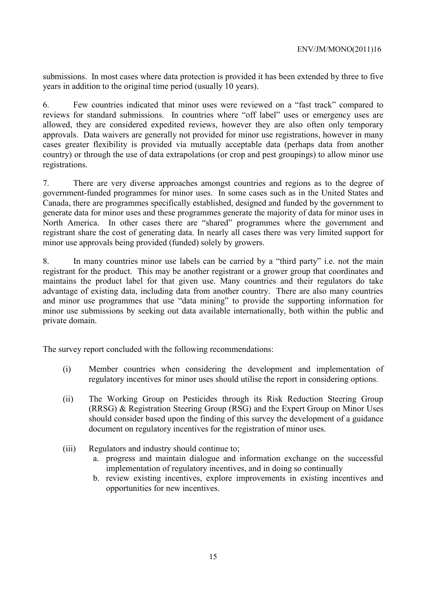submissions. In most cases where data protection is provided it has been extended by three to five years in addition to the original time period (usually 10 years).

6. Few countries indicated that minor uses were reviewed on a "fast track" compared to reviews for standard submissions. In countries where "off label" uses or emergency uses are allowed, they are considered expedited reviews, however they are also often only temporary approvals. Data waivers are generally not provided for minor use registrations, however in many cases greater flexibility is provided via mutually acceptable data (perhaps data from another country) or through the use of data extrapolations (or crop and pest groupings) to allow minor use registrations.

7. There are very diverse approaches amongst countries and regions as to the degree of government-funded programmes for minor uses. In some cases such as in the United States and Canada, there are programmes specifically established, designed and funded by the government to generate data for minor uses and these programmes generate the majority of data for minor uses in North America. In other cases there are "shared" programmes where the government and registrant share the cost of generating data. In nearly all cases there was very limited support for minor use approvals being provided (funded) solely by growers.

8. In many countries minor use labels can be carried by a "third party" i.e. not the main registrant for the product. This may be another registrant or a grower group that coordinates and maintains the product label for that given use. Many countries and their regulators do take advantage of existing data, including data from another country. There are also many countries and minor use programmes that use "data mining" to provide the supporting information for minor use submissions by seeking out data available internationally, both within the public and private domain.

The survey report concluded with the following recommendations:

- (i) Member countries when considering the development and implementation of regulatory incentives for minor uses should utilise the report in considering options.
- (ii) The Working Group on Pesticides through its Risk Reduction Steering Group (RRSG) & Registration Steering Group (RSG) and the Expert Group on Minor Uses should consider based upon the finding of this survey the development of a guidance document on regulatory incentives for the registration of minor uses.
- (iii) Regulators and industry should continue to;
	- a. progress and maintain dialogue and information exchange on the successful implementation of regulatory incentives, and in doing so continually
	- b. review existing incentives, explore improvements in existing incentives and opportunities for new incentives.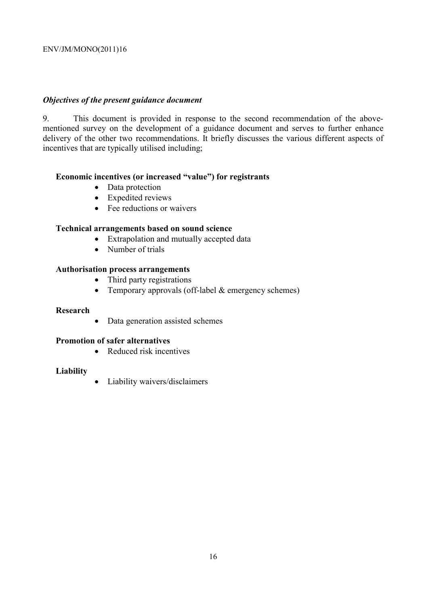#### *Objectives of the present guidance document*

9. This document is provided in response to the second recommendation of the abovementioned survey on the development of a guidance document and serves to further enhance delivery of the other two recommendations. It briefly discusses the various different aspects of incentives that are typically utilised including;

#### **Economic incentives (or increased "value") for registrants**

- Data protection
- Expedited reviews
- Fee reductions or waivers

#### **Technical arrangements based on sound science**

- Extrapolation and mutually accepted data
- Number of trials

#### **Authorisation process arrangements**

- Third party registrations
- Temporary approvals (off-label & emergency schemes)

#### **Research**

• Data generation assisted schemes

#### **Promotion of safer alternatives**

• Reduced risk incentives

#### **Liability**

• Liability waivers/disclaimers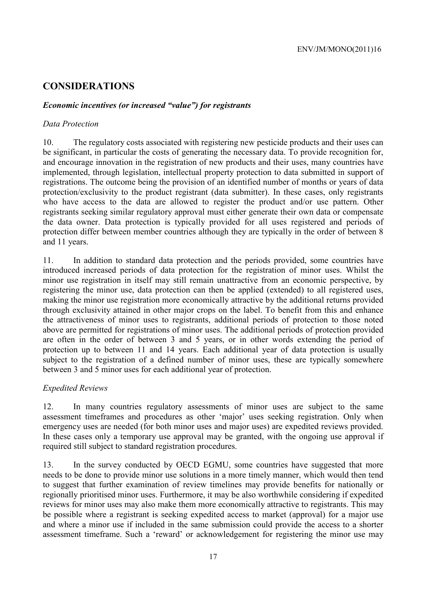#### **CONSIDERATIONS**

#### *Economic incentives (or increased "value") for registrants*

#### *Data Protection*

10. The regulatory costs associated with registering new pesticide products and their uses can be significant, in particular the costs of generating the necessary data. To provide recognition for, and encourage innovation in the registration of new products and their uses, many countries have implemented, through legislation, intellectual property protection to data submitted in support of registrations. The outcome being the provision of an identified number of months or years of data protection/exclusivity to the product registrant (data submitter). In these cases, only registrants who have access to the data are allowed to register the product and/or use pattern. Other registrants seeking similar regulatory approval must either generate their own data or compensate the data owner. Data protection is typically provided for all uses registered and periods of protection differ between member countries although they are typically in the order of between 8 and 11 years.

11. In addition to standard data protection and the periods provided, some countries have introduced increased periods of data protection for the registration of minor uses. Whilst the minor use registration in itself may still remain unattractive from an economic perspective, by registering the minor use, data protection can then be applied (extended) to all registered uses, making the minor use registration more economically attractive by the additional returns provided through exclusivity attained in other major crops on the label. To benefit from this and enhance the attractiveness of minor uses to registrants, additional periods of protection to those noted above are permitted for registrations of minor uses. The additional periods of protection provided are often in the order of between 3 and 5 years, or in other words extending the period of protection up to between 11 and 14 years. Each additional year of data protection is usually subject to the registration of a defined number of minor uses, these are typically somewhere between 3 and 5 minor uses for each additional year of protection.

#### *Expedited Reviews*

12. In many countries regulatory assessments of minor uses are subject to the same assessment timeframes and procedures as other 'major' uses seeking registration. Only when emergency uses are needed (for both minor uses and major uses) are expedited reviews provided. In these cases only a temporary use approval may be granted, with the ongoing use approval if required still subject to standard registration procedures.

13. In the survey conducted by OECD EGMU, some countries have suggested that more needs to be done to provide minor use solutions in a more timely manner, which would then tend to suggest that further examination of review timelines may provide benefits for nationally or regionally prioritised minor uses. Furthermore, it may be also worthwhile considering if expedited reviews for minor uses may also make them more economically attractive to registrants. This may be possible where a registrant is seeking expedited access to market (approval) for a major use and where a minor use if included in the same submission could provide the access to a shorter assessment timeframe. Such a 'reward' or acknowledgement for registering the minor use may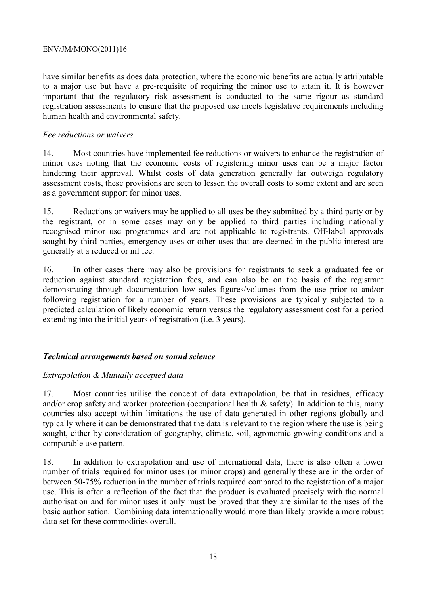have similar benefits as does data protection, where the economic benefits are actually attributable to a major use but have a pre-requisite of requiring the minor use to attain it. It is however important that the regulatory risk assessment is conducted to the same rigour as standard registration assessments to ensure that the proposed use meets legislative requirements including human health and environmental safety.

#### *Fee reductions or waivers*

14. Most countries have implemented fee reductions or waivers to enhance the registration of minor uses noting that the economic costs of registering minor uses can be a major factor hindering their approval. Whilst costs of data generation generally far outweigh regulatory assessment costs, these provisions are seen to lessen the overall costs to some extent and are seen as a government support for minor uses.

15. Reductions or waivers may be applied to all uses be they submitted by a third party or by the registrant, or in some cases may only be applied to third parties including nationally recognised minor use programmes and are not applicable to registrants. Off-label approvals sought by third parties, emergency uses or other uses that are deemed in the public interest are generally at a reduced or nil fee.

16. In other cases there may also be provisions for registrants to seek a graduated fee or reduction against standard registration fees, and can also be on the basis of the registrant demonstrating through documentation low sales figures/volumes from the use prior to and/or following registration for a number of years. These provisions are typically subjected to a predicted calculation of likely economic return versus the regulatory assessment cost for a period extending into the initial years of registration (i.e. 3 years).

#### *Technical arrangements based on sound science*

#### *Extrapolation & Mutually accepted data*

17. Most countries utilise the concept of data extrapolation, be that in residues, efficacy and/or crop safety and worker protection (occupational health  $\&$  safety). In addition to this, many countries also accept within limitations the use of data generated in other regions globally and typically where it can be demonstrated that the data is relevant to the region where the use is being sought, either by consideration of geography, climate, soil, agronomic growing conditions and a comparable use pattern.

18. In addition to extrapolation and use of international data, there is also often a lower number of trials required for minor uses (or minor crops) and generally these are in the order of between 50-75% reduction in the number of trials required compared to the registration of a major use. This is often a reflection of the fact that the product is evaluated precisely with the normal authorisation and for minor uses it only must be proved that they are similar to the uses of the basic authorisation. Combining data internationally would more than likely provide a more robust data set for these commodities overall.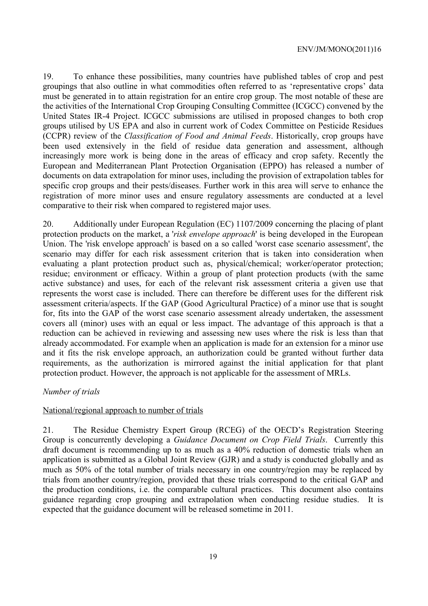19. To enhance these possibilities, many countries have published tables of crop and pest groupings that also outline in what commodities often referred to as 'representative crops' data must be generated in to attain registration for an entire crop group. The most notable of these are the activities of the International Crop Grouping Consulting Committee (ICGCC) convened by the United States IR-4 Project. ICGCC submissions are utilised in proposed changes to both crop groups utilised by US EPA and also in current work of Codex Committee on Pesticide Residues (CCPR) review of the *Classification of Food and Animal Feeds*. Historically, crop groups have been used extensively in the field of residue data generation and assessment, although increasingly more work is being done in the areas of efficacy and crop safety. Recently the European and Mediterranean Plant Protection Organisation (EPPO) has released a number of documents on data extrapolation for minor uses, including the provision of extrapolation tables for specific crop groups and their pests/diseases. Further work in this area will serve to enhance the registration of more minor uses and ensure regulatory assessments are conducted at a level comparative to their risk when compared to registered major uses.

20. Additionally under European Regulation (EC) 1107/2009 concerning the placing of plant protection products on the market, a '*risk envelope approach*' is being developed in the European Union. The 'risk envelope approach' is based on a so called 'worst case scenario assessment', the scenario may differ for each risk assessment criterion that is taken into consideration when evaluating a plant protection product such as, physical/chemical; worker/operator protection; residue; environment or efficacy. Within a group of plant protection products (with the same active substance) and uses, for each of the relevant risk assessment criteria a given use that represents the worst case is included. There can therefore be different uses for the different risk assessment criteria/aspects. If the GAP (Good Agricultural Practice) of a minor use that is sought for, fits into the GAP of the worst case scenario assessment already undertaken, the assessment covers all (minor) uses with an equal or less impact. The advantage of this approach is that a reduction can be achieved in reviewing and assessing new uses where the risk is less than that already accommodated. For example when an application is made for an extension for a minor use and it fits the risk envelope approach, an authorization could be granted without further data requirements, as the authorization is mirrored against the initial application for that plant protection product. However, the approach is not applicable for the assessment of MRLs.

#### *Number of trials*

#### National/regional approach to number of trials

21. The Residue Chemistry Expert Group (RCEG) of the OECD's Registration Steering Group is concurrently developing a *Guidance Document on Crop Field Trials*. Currently this draft document is recommending up to as much as a 40% reduction of domestic trials when an application is submitted as a Global Joint Review (GJR) and a study is conducted globally and as much as 50% of the total number of trials necessary in one country/region may be replaced by trials from another country/region, provided that these trials correspond to the critical GAP and the production conditions, i.e. the comparable cultural practices. This document also contains guidance regarding crop grouping and extrapolation when conducting residue studies. It is expected that the guidance document will be released sometime in 2011.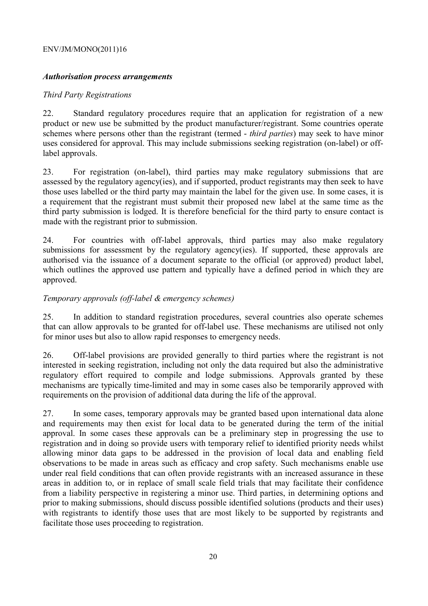#### *Authorisation process arrangements*

#### *Third Party Registrations*

22. Standard regulatory procedures require that an application for registration of a new product or new use be submitted by the product manufacturer/registrant. Some countries operate schemes where persons other than the registrant (termed - *third parties*) may seek to have minor uses considered for approval. This may include submissions seeking registration (on-label) or offlabel approvals.

23. For registration (on-label), third parties may make regulatory submissions that are assessed by the regulatory agency(ies), and if supported, product registrants may then seek to have those uses labelled or the third party may maintain the label for the given use. In some cases, it is a requirement that the registrant must submit their proposed new label at the same time as the third party submission is lodged. It is therefore beneficial for the third party to ensure contact is made with the registrant prior to submission.

24. For countries with off-label approvals, third parties may also make regulatory submissions for assessment by the regulatory agency(ies). If supported, these approvals are authorised via the issuance of a document separate to the official (or approved) product label, which outlines the approved use pattern and typically have a defined period in which they are approved.

#### *Temporary approvals (off-label & emergency schemes)*

25. In addition to standard registration procedures, several countries also operate schemes that can allow approvals to be granted for off-label use. These mechanisms are utilised not only for minor uses but also to allow rapid responses to emergency needs.

26. Off-label provisions are provided generally to third parties where the registrant is not interested in seeking registration, including not only the data required but also the administrative regulatory effort required to compile and lodge submissions. Approvals granted by these mechanisms are typically time-limited and may in some cases also be temporarily approved with requirements on the provision of additional data during the life of the approval.

27. In some cases, temporary approvals may be granted based upon international data alone and requirements may then exist for local data to be generated during the term of the initial approval. In some cases these approvals can be a preliminary step in progressing the use to registration and in doing so provide users with temporary relief to identified priority needs whilst allowing minor data gaps to be addressed in the provision of local data and enabling field observations to be made in areas such as efficacy and crop safety. Such mechanisms enable use under real field conditions that can often provide registrants with an increased assurance in these areas in addition to, or in replace of small scale field trials that may facilitate their confidence from a liability perspective in registering a minor use. Third parties, in determining options and prior to making submissions, should discuss possible identified solutions (products and their uses) with registrants to identify those uses that are most likely to be supported by registrants and facilitate those uses proceeding to registration.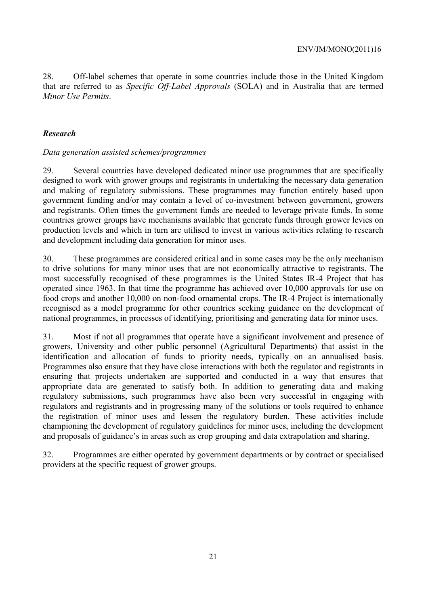28. Off-label schemes that operate in some countries include those in the United Kingdom that are referred to as *Specific Off-Label Approvals* (SOLA) and in Australia that are termed *Minor Use Permits*.

#### *Research*

#### *Data generation assisted schemes/programmes*

29. Several countries have developed dedicated minor use programmes that are specifically designed to work with grower groups and registrants in undertaking the necessary data generation and making of regulatory submissions. These programmes may function entirely based upon government funding and/or may contain a level of co-investment between government, growers and registrants. Often times the government funds are needed to leverage private funds. In some countries grower groups have mechanisms available that generate funds through grower levies on production levels and which in turn are utilised to invest in various activities relating to research and development including data generation for minor uses.

30. These programmes are considered critical and in some cases may be the only mechanism to drive solutions for many minor uses that are not economically attractive to registrants. The most successfully recognised of these programmes is the United States IR-4 Project that has operated since 1963. In that time the programme has achieved over 10,000 approvals for use on food crops and another 10,000 on non-food ornamental crops. The IR-4 Project is internationally recognised as a model programme for other countries seeking guidance on the development of national programmes, in processes of identifying, prioritising and generating data for minor uses.

31. Most if not all programmes that operate have a significant involvement and presence of growers, University and other public personnel (Agricultural Departments) that assist in the identification and allocation of funds to priority needs, typically on an annualised basis. Programmes also ensure that they have close interactions with both the regulator and registrants in ensuring that projects undertaken are supported and conducted in a way that ensures that appropriate data are generated to satisfy both. In addition to generating data and making regulatory submissions, such programmes have also been very successful in engaging with regulators and registrants and in progressing many of the solutions or tools required to enhance the registration of minor uses and lessen the regulatory burden. These activities include championing the development of regulatory guidelines for minor uses, including the development and proposals of guidance's in areas such as crop grouping and data extrapolation and sharing.

32. Programmes are either operated by government departments or by contract or specialised providers at the specific request of grower groups.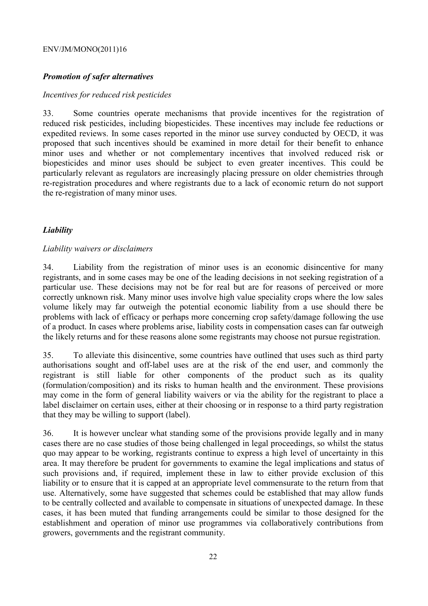#### *Promotion of safer alternatives*

#### *Incentives for reduced risk pesticides*

33. Some countries operate mechanisms that provide incentives for the registration of reduced risk pesticides, including biopesticides. These incentives may include fee reductions or expedited reviews. In some cases reported in the minor use survey conducted by OECD, it was proposed that such incentives should be examined in more detail for their benefit to enhance minor uses and whether or not complementary incentives that involved reduced risk or biopesticides and minor uses should be subject to even greater incentives. This could be particularly relevant as regulators are increasingly placing pressure on older chemistries through re-registration procedures and where registrants due to a lack of economic return do not support the re-registration of many minor uses.

#### *Liability*

#### *Liability waivers or disclaimers*

34. Liability from the registration of minor uses is an economic disincentive for many registrants, and in some cases may be one of the leading decisions in not seeking registration of a particular use. These decisions may not be for real but are for reasons of perceived or more correctly unknown risk. Many minor uses involve high value speciality crops where the low sales volume likely may far outweigh the potential economic liability from a use should there be problems with lack of efficacy or perhaps more concerning crop safety/damage following the use of a product. In cases where problems arise, liability costs in compensation cases can far outweigh the likely returns and for these reasons alone some registrants may choose not pursue registration.

35. To alleviate this disincentive, some countries have outlined that uses such as third party authorisations sought and off-label uses are at the risk of the end user, and commonly the registrant is still liable for other components of the product such as its quality (formulation/composition) and its risks to human health and the environment. These provisions may come in the form of general liability waivers or via the ability for the registrant to place a label disclaimer on certain uses, either at their choosing or in response to a third party registration that they may be willing to support (label).

36. It is however unclear what standing some of the provisions provide legally and in many cases there are no case studies of those being challenged in legal proceedings, so whilst the status quo may appear to be working, registrants continue to express a high level of uncertainty in this area. It may therefore be prudent for governments to examine the legal implications and status of such provisions and, if required, implement these in law to either provide exclusion of this liability or to ensure that it is capped at an appropriate level commensurate to the return from that use. Alternatively, some have suggested that schemes could be established that may allow funds to be centrally collected and available to compensate in situations of unexpected damage. In these cases, it has been muted that funding arrangements could be similar to those designed for the establishment and operation of minor use programmes via collaboratively contributions from growers, governments and the registrant community.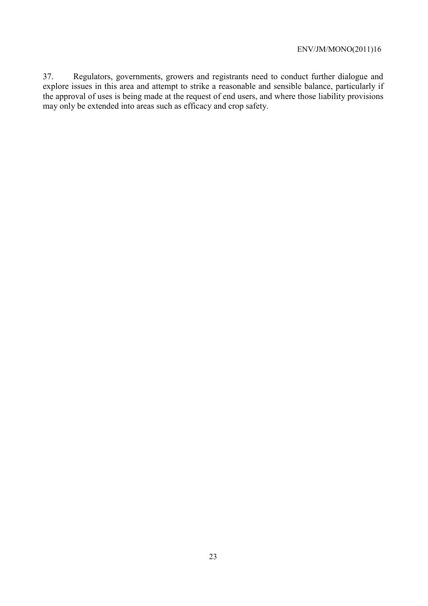37. Regulators, governments, growers and registrants need to conduct further dialogue and explore issues in this area and attempt to strike a reasonable and sensible balance, particularly if the approval of uses is being made at the request of end users, and where those liability provisions may only be extended into areas such as efficacy and crop safety.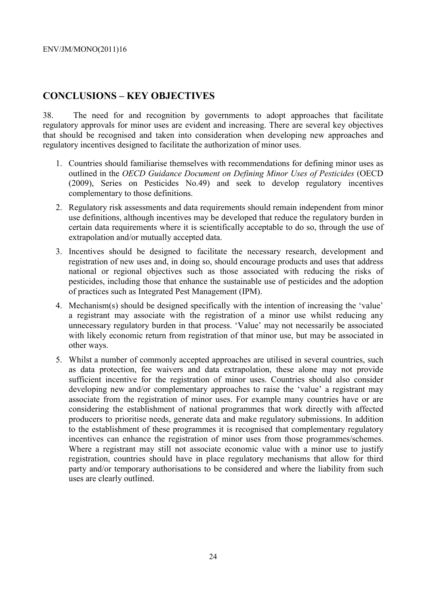#### **CONCLUSIONS – KEY OBJECTIVES**

38. The need for and recognition by governments to adopt approaches that facilitate regulatory approvals for minor uses are evident and increasing. There are several key objectives that should be recognised and taken into consideration when developing new approaches and regulatory incentives designed to facilitate the authorization of minor uses.

- 1. Countries should familiarise themselves with recommendations for defining minor uses as outlined in the *OECD Guidance Document on Defining Minor Uses of Pesticides* (OECD (2009), Series on Pesticides No.49) and seek to develop regulatory incentives complementary to those definitions.
- 2. Regulatory risk assessments and data requirements should remain independent from minor use definitions, although incentives may be developed that reduce the regulatory burden in certain data requirements where it is scientifically acceptable to do so, through the use of extrapolation and/or mutually accepted data.
- 3. Incentives should be designed to facilitate the necessary research, development and registration of new uses and, in doing so, should encourage products and uses that address national or regional objectives such as those associated with reducing the risks of pesticides, including those that enhance the sustainable use of pesticides and the adoption of practices such as Integrated Pest Management (IPM).
- 4. Mechanism(s) should be designed specifically with the intention of increasing the 'value' a registrant may associate with the registration of a minor use whilst reducing any unnecessary regulatory burden in that process. 'Value' may not necessarily be associated with likely economic return from registration of that minor use, but may be associated in other ways.
- 5. Whilst a number of commonly accepted approaches are utilised in several countries, such as data protection, fee waivers and data extrapolation, these alone may not provide sufficient incentive for the registration of minor uses. Countries should also consider developing new and/or complementary approaches to raise the 'value' a registrant may associate from the registration of minor uses. For example many countries have or are considering the establishment of national programmes that work directly with affected producers to prioritise needs, generate data and make regulatory submissions. In addition to the establishment of these programmes it is recognised that complementary regulatory incentives can enhance the registration of minor uses from those programmes/schemes. Where a registrant may still not associate economic value with a minor use to justify registration, countries should have in place regulatory mechanisms that allow for third party and/or temporary authorisations to be considered and where the liability from such uses are clearly outlined.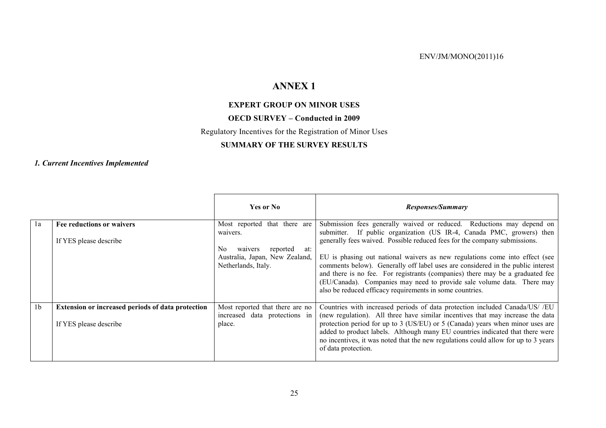#### **ANNEX 1**

#### **EXPERT GROUP ON MINOR USES**

#### **OECD SURVEY – Conducted in 2009**

Regulatory Incentives for the Registration of Minor Uses

#### **SUMMARY OF THE SURVEY RESULTS**

#### *1. Current Incentives Implemented*

|    |                                                   | <b>Yes or No</b>                                                 | <i>Responses/Summary</i>                                                                                                                                                                                                                                                                                                                                                              |
|----|---------------------------------------------------|------------------------------------------------------------------|---------------------------------------------------------------------------------------------------------------------------------------------------------------------------------------------------------------------------------------------------------------------------------------------------------------------------------------------------------------------------------------|
| 1a | Fee reductions or waivers                         | Most reported that there are<br>waivers.                         | Submission fees generally waived or reduced. Reductions may depend on<br>submitter. If public organization (US IR-4, Canada PMC, growers) then                                                                                                                                                                                                                                        |
|    | If YES please describe                            | No.<br>reported<br>waivers<br>at:                                | generally fees waived. Possible reduced fees for the company submissions.                                                                                                                                                                                                                                                                                                             |
|    |                                                   | Australia, Japan, New Zealand,<br>Netherlands, Italy.            | EU is phasing out national waivers as new regulations come into effect (see<br>comments below). Generally off label uses are considered in the public interest<br>and there is no fee. For registrants (companies) there may be a graduated fee<br>(EU/Canada). Companies may need to provide sale volume data. There may<br>also be reduced efficacy requirements in some countries. |
| 1b | Extension or increased periods of data protection | Most reported that there are no<br>increased data protections in | Countries with increased periods of data protection included Canada/US/ /EU<br>(new regulation). All three have similar incentives that may increase the data                                                                                                                                                                                                                         |
|    | If YES please describe                            | place.                                                           | protection period for up to 3 (US/EU) or 5 (Canada) years when minor uses are<br>added to product labels. Although many EU countries indicated that there were<br>no incentives, it was noted that the new regulations could allow for up to 3 years<br>of data protection.                                                                                                           |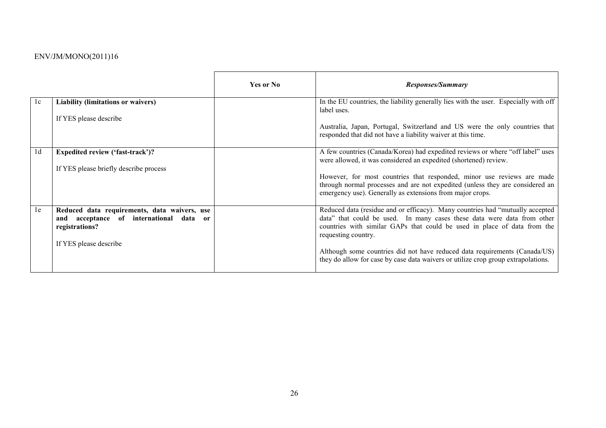|                |                                                                                                                                        | <b>Yes or No</b> | <b>Responses/Summary</b>                                                                                                                                                                                                                                                                                                                                                                                                       |
|----------------|----------------------------------------------------------------------------------------------------------------------------------------|------------------|--------------------------------------------------------------------------------------------------------------------------------------------------------------------------------------------------------------------------------------------------------------------------------------------------------------------------------------------------------------------------------------------------------------------------------|
| 1c             | <b>Liability (limitations or waivers)</b><br>If YES please describe                                                                    |                  | In the EU countries, the liability generally lies with the user. Especially with off<br>label uses.<br>Australia, Japan, Portugal, Switzerland and US were the only countries that<br>responded that did not have a liability waiver at this time.                                                                                                                                                                             |
| 1 <sub>d</sub> | <b>Expedited review ('fast-track')?</b><br>If YES please briefly describe process                                                      |                  | A few countries (Canada/Korea) had expedited reviews or where "off label" uses<br>were allowed, it was considered an expedited (shortened) review.<br>However, for most countries that responded, minor use reviews are made<br>through normal processes and are not expedited (unless they are considered an<br>emergency use). Generally as extensions from major crops.                                                     |
| 1e             | Reduced data requirements, data waivers, use<br>acceptance of international data or<br>and<br>registrations?<br>If YES please describe |                  | Reduced data (residue and or efficacy). Many countries had "mutually accepted<br>data" that could be used. In many cases these data were data from other<br>countries with similar GAPs that could be used in place of data from the<br>requesting country.<br>Although some countries did not have reduced data requirements (Canada/US)<br>they do allow for case by case data waivers or utilize crop group extrapolations. |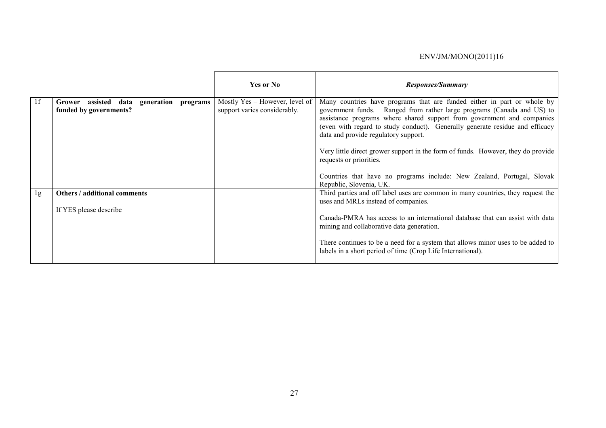|                |                                                                          | Yes or No                                                      | <b>Responses/Summary</b>                                                                                                                                                                                                                                                                                                                                                                                                                |
|----------------|--------------------------------------------------------------------------|----------------------------------------------------------------|-----------------------------------------------------------------------------------------------------------------------------------------------------------------------------------------------------------------------------------------------------------------------------------------------------------------------------------------------------------------------------------------------------------------------------------------|
| 1 <sup>f</sup> | Grower assisted data<br>generation<br>programs<br>funded by governments? | Mostly Yes - However, level of<br>support varies considerably. | Many countries have programs that are funded either in part or whole by<br>government funds. Ranged from rather large programs (Canada and US) to<br>assistance programs where shared support from government and companies<br>(even with regard to study conduct). Generally generate residue and efficacy<br>data and provide regulatory support.<br>Very little direct grower support in the form of funds. However, they do provide |
|                |                                                                          |                                                                | requests or priorities.<br>Countries that have no programs include: New Zealand, Portugal, Slovak                                                                                                                                                                                                                                                                                                                                       |
|                |                                                                          |                                                                | Republic, Slovenia, UK.                                                                                                                                                                                                                                                                                                                                                                                                                 |
| lg             | Others / additional comments                                             |                                                                | Third parties and off label uses are common in many countries, they request the<br>uses and MRLs instead of companies.                                                                                                                                                                                                                                                                                                                  |
|                | If YES please describe                                                   |                                                                |                                                                                                                                                                                                                                                                                                                                                                                                                                         |
|                |                                                                          |                                                                | Canada-PMRA has access to an international database that can assist with data<br>mining and collaborative data generation.                                                                                                                                                                                                                                                                                                              |
|                |                                                                          |                                                                | There continues to be a need for a system that allows minor uses to be added to<br>labels in a short period of time (Crop Life International).                                                                                                                                                                                                                                                                                          |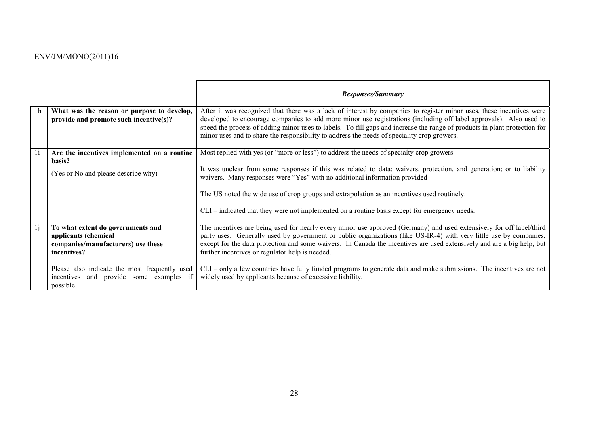|                |                                                                                                                | <b>Responses/Summary</b>                                                                                                                                                                                                                                                                                                                                                                                                                                               |
|----------------|----------------------------------------------------------------------------------------------------------------|------------------------------------------------------------------------------------------------------------------------------------------------------------------------------------------------------------------------------------------------------------------------------------------------------------------------------------------------------------------------------------------------------------------------------------------------------------------------|
| 1 <sup>h</sup> | What was the reason or purpose to develop,<br>provide and promote such incentive(s)?                           | After it was recognized that there was a lack of interest by companies to register minor uses, these incentives were<br>developed to encourage companies to add more minor use registrations (including off label approvals). Also used to<br>speed the process of adding minor uses to labels. To fill gaps and increase the range of products in plant protection for<br>minor uses and to share the responsibility to address the needs of speciality crop growers. |
| -li            | Are the incentives implemented on a routine<br>basis?                                                          | Most replied with yes (or "more or less") to address the needs of specialty crop growers.                                                                                                                                                                                                                                                                                                                                                                              |
|                | (Yes or No and please describe why)                                                                            | It was unclear from some responses if this was related to data: waivers, protection, and generation; or to liability<br>waivers. Many responses were "Yes" with no additional information provided                                                                                                                                                                                                                                                                     |
|                |                                                                                                                | The US noted the wide use of crop groups and extrapolation as an incentives used routinely.                                                                                                                                                                                                                                                                                                                                                                            |
|                |                                                                                                                | CLI – indicated that they were not implemented on a routine basis except for emergency needs.                                                                                                                                                                                                                                                                                                                                                                          |
| 1j             | To what extent do governments and<br>applicants (chemical<br>companies/manufacturers) use these<br>incentives? | The incentives are being used for nearly every minor use approved (Germany) and used extensively for off label/third<br>party uses. Generally used by government or public organizations (like US-IR-4) with very little use by companies,<br>except for the data protection and some waivers. In Canada the incentives are used extensively and are a big help, but<br>further incentives or regulator help is needed.                                                |
|                | Please also indicate the most frequently used<br>incentives and provide some examples if<br>possible.          | CLI – only a few countries have fully funded programs to generate data and make submissions. The incentives are not<br>widely used by applicants because of excessive liability.                                                                                                                                                                                                                                                                                       |